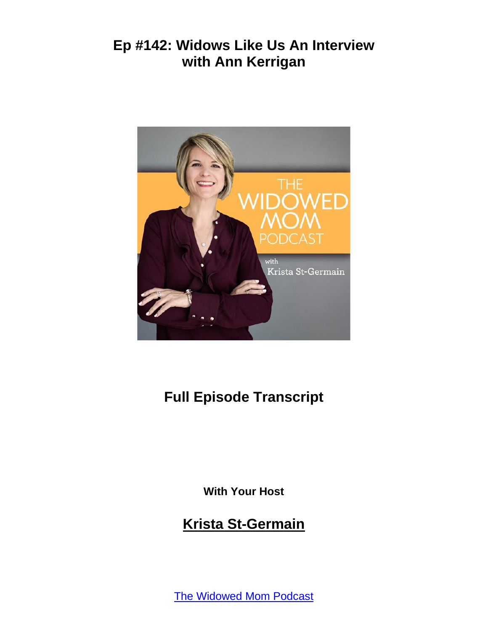

# **Full Episode Transcript**

**With Your Host**

#### **Krista St-Germain**

[The Widowed Mom Podcast](https://coachingwithkrista.com/podcast)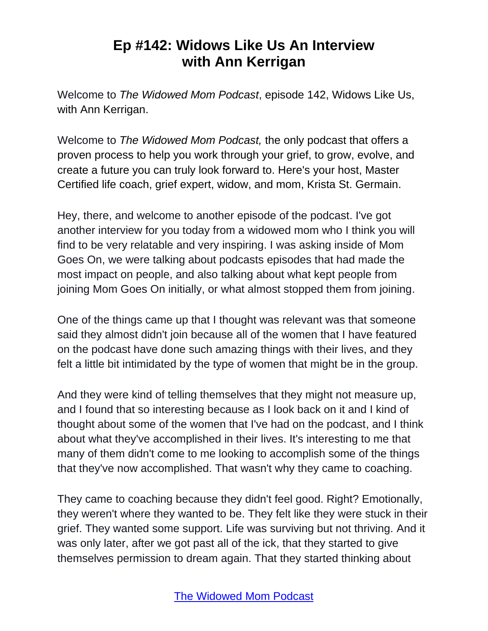Welcome to *The Widowed Mom Podcast*, episode 142, Widows Like Us, with Ann Kerrigan.

Welcome to *The Widowed Mom Podcast,* the only podcast that offers a proven process to help you work through your grief, to grow, evolve, and create a future you can truly look forward to. Here's your host, Master Certified life coach, grief expert, widow, and mom, Krista St. Germain.

Hey, there, and welcome to another episode of the podcast. I've got another interview for you today from a widowed mom who I think you will find to be very relatable and very inspiring. I was asking inside of Mom Goes On, we were talking about podcasts episodes that had made the most impact on people, and also talking about what kept people from joining Mom Goes On initially, or what almost stopped them from joining.

One of the things came up that I thought was relevant was that someone said they almost didn't join because all of the women that I have featured on the podcast have done such amazing things with their lives, and they felt a little bit intimidated by the type of women that might be in the group.

And they were kind of telling themselves that they might not measure up, and I found that so interesting because as I look back on it and I kind of thought about some of the women that I've had on the podcast, and I think about what they've accomplished in their lives. It's interesting to me that many of them didn't come to me looking to accomplish some of the things that they've now accomplished. That wasn't why they came to coaching.

They came to coaching because they didn't feel good. Right? Emotionally, they weren't where they wanted to be. They felt like they were stuck in their grief. They wanted some support. Life was surviving but not thriving. And it was only later, after we got past all of the ick, that they started to give themselves permission to dream again. That they started thinking about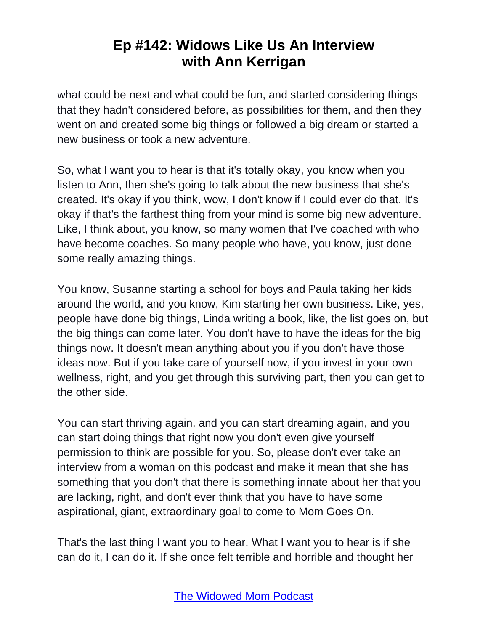what could be next and what could be fun, and started considering things that they hadn't considered before, as possibilities for them, and then they went on and created some big things or followed a big dream or started a new business or took a new adventure.

So, what I want you to hear is that it's totally okay, you know when you listen to Ann, then she's going to talk about the new business that she's created. It's okay if you think, wow, I don't know if I could ever do that. It's okay if that's the farthest thing from your mind is some big new adventure. Like, I think about, you know, so many women that I've coached with who have become coaches. So many people who have, you know, just done some really amazing things.

You know, Susanne starting a school for boys and Paula taking her kids around the world, and you know, Kim starting her own business. Like, yes, people have done big things, Linda writing a book, like, the list goes on, but the big things can come later. You don't have to have the ideas for the big things now. It doesn't mean anything about you if you don't have those ideas now. But if you take care of yourself now, if you invest in your own wellness, right, and you get through this surviving part, then you can get to the other side.

You can start thriving again, and you can start dreaming again, and you can start doing things that right now you don't even give yourself permission to think are possible for you. So, please don't ever take an interview from a woman on this podcast and make it mean that she has something that you don't that there is something innate about her that you are lacking, right, and don't ever think that you have to have some aspirational, giant, extraordinary goal to come to Mom Goes On.

That's the last thing I want you to hear. What I want you to hear is if she can do it, I can do it. If she once felt terrible and horrible and thought her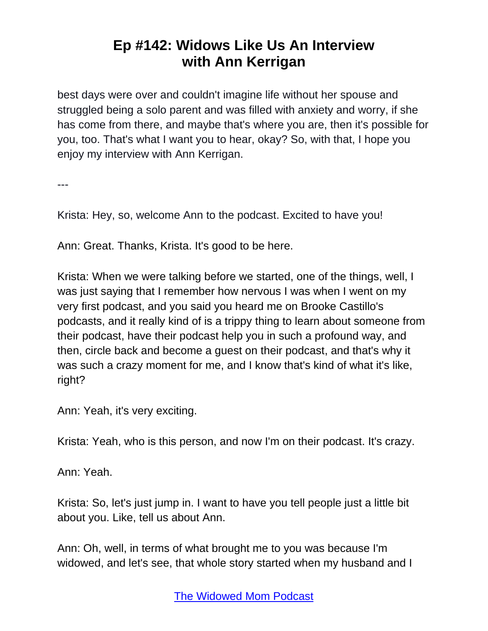best days were over and couldn't imagine life without her spouse and struggled being a solo parent and was filled with anxiety and worry, if she has come from there, and maybe that's where you are, then it's possible for you, too. That's what I want you to hear, okay? So, with that, I hope you enjoy my interview with Ann Kerrigan.

---

Krista: Hey, so, welcome Ann to the podcast. Excited to have you!

Ann: Great. Thanks, Krista. It's good to be here.

Krista: When we were talking before we started, one of the things, well, I was just saying that I remember how nervous I was when I went on my very first podcast, and you said you heard me on Brooke Castillo's podcasts, and it really kind of is a trippy thing to learn about someone from their podcast, have their podcast help you in such a profound way, and then, circle back and become a guest on their podcast, and that's why it was such a crazy moment for me, and I know that's kind of what it's like, right?

Ann: Yeah, it's very exciting.

Krista: Yeah, who is this person, and now I'm on their podcast. It's crazy.

Ann: Yeah.

Krista: So, let's just jump in. I want to have you tell people just a little bit about you. Like, tell us about Ann.

Ann: Oh, well, in terms of what brought me to you was because I'm widowed, and let's see, that whole story started when my husband and I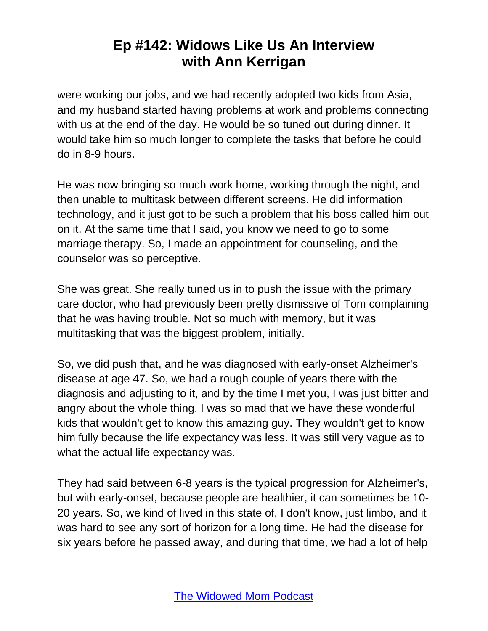were working our jobs, and we had recently adopted two kids from Asia, and my husband started having problems at work and problems connecting with us at the end of the day. He would be so tuned out during dinner. It would take him so much longer to complete the tasks that before he could do in 8-9 hours.

He was now bringing so much work home, working through the night, and then unable to multitask between different screens. He did information technology, and it just got to be such a problem that his boss called him out on it. At the same time that I said, you know we need to go to some marriage therapy. So, I made an appointment for counseling, and the counselor was so perceptive.

She was great. She really tuned us in to push the issue with the primary care doctor, who had previously been pretty dismissive of Tom complaining that he was having trouble. Not so much with memory, but it was multitasking that was the biggest problem, initially.

So, we did push that, and he was diagnosed with early-onset Alzheimer's disease at age 47. So, we had a rough couple of years there with the diagnosis and adjusting to it, and by the time I met you, I was just bitter and angry about the whole thing. I was so mad that we have these wonderful kids that wouldn't get to know this amazing guy. They wouldn't get to know him fully because the life expectancy was less. It was still very vague as to what the actual life expectancy was.

They had said between 6-8 years is the typical progression for Alzheimer's, but with early-onset, because people are healthier, it can sometimes be 10- 20 years. So, we kind of lived in this state of, I don't know, just limbo, and it was hard to see any sort of horizon for a long time. He had the disease for six years before he passed away, and during that time, we had a lot of help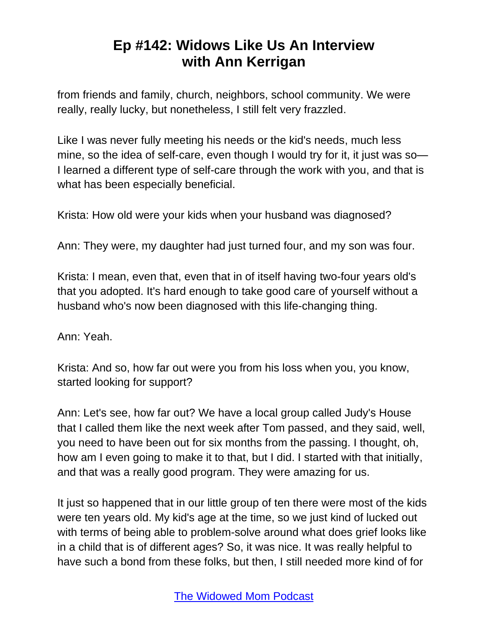from friends and family, church, neighbors, school community. We were really, really lucky, but nonetheless, I still felt very frazzled.

Like I was never fully meeting his needs or the kid's needs, much less mine, so the idea of self-care, even though I would try for it, it just was so— I learned a different type of self-care through the work with you, and that is what has been especially beneficial.

Krista: How old were your kids when your husband was diagnosed?

Ann: They were, my daughter had just turned four, and my son was four.

Krista: I mean, even that, even that in of itself having two-four years old's that you adopted. It's hard enough to take good care of yourself without a husband who's now been diagnosed with this life-changing thing.

Ann: Yeah.

Krista: And so, how far out were you from his loss when you, you know, started looking for support?

Ann: Let's see, how far out? We have a local group called Judy's House that I called them like the next week after Tom passed, and they said, well, you need to have been out for six months from the passing. I thought, oh, how am I even going to make it to that, but I did. I started with that initially, and that was a really good program. They were amazing for us.

It just so happened that in our little group of ten there were most of the kids were ten years old. My kid's age at the time, so we just kind of lucked out with terms of being able to problem-solve around what does grief looks like in a child that is of different ages? So, it was nice. It was really helpful to have such a bond from these folks, but then, I still needed more kind of for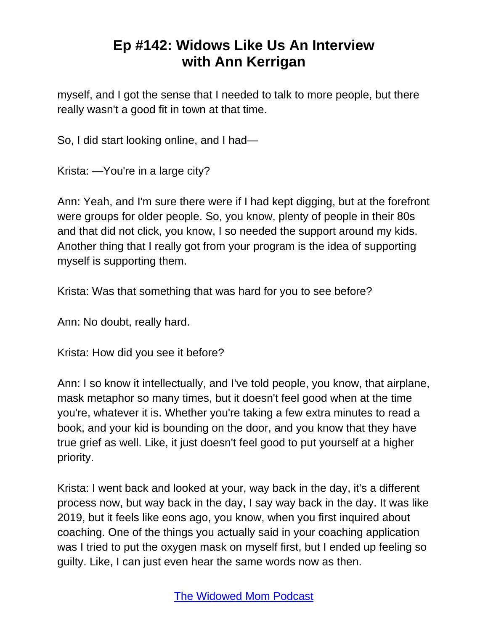myself, and I got the sense that I needed to talk to more people, but there really wasn't a good fit in town at that time.

So, I did start looking online, and I had—

Krista: —You're in a large city?

Ann: Yeah, and I'm sure there were if I had kept digging, but at the forefront were groups for older people. So, you know, plenty of people in their 80s and that did not click, you know, I so needed the support around my kids. Another thing that I really got from your program is the idea of supporting myself is supporting them.

Krista: Was that something that was hard for you to see before?

Ann: No doubt, really hard.

Krista: How did you see it before?

Ann: I so know it intellectually, and I've told people, you know, that airplane, mask metaphor so many times, but it doesn't feel good when at the time you're, whatever it is. Whether you're taking a few extra minutes to read a book, and your kid is bounding on the door, and you know that they have true grief as well. Like, it just doesn't feel good to put yourself at a higher priority.

Krista: I went back and looked at your, way back in the day, it's a different process now, but way back in the day, I say way back in the day. It was like 2019, but it feels like eons ago, you know, when you first inquired about coaching. One of the things you actually said in your coaching application was I tried to put the oxygen mask on myself first, but I ended up feeling so guilty. Like, I can just even hear the same words now as then.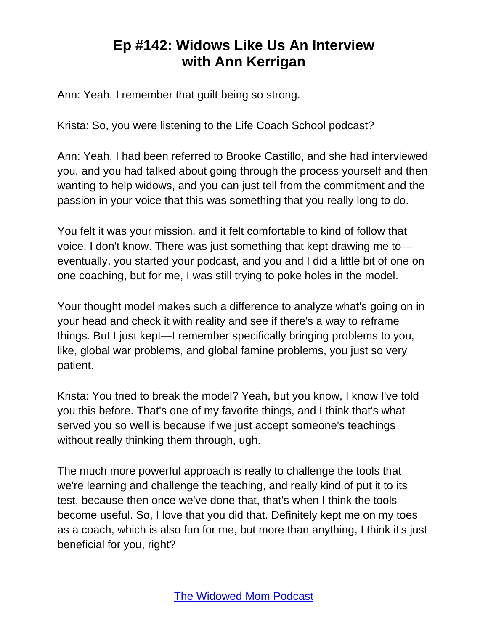Ann: Yeah, I remember that guilt being so strong.

Krista: So, you were listening to the Life Coach School podcast?

Ann: Yeah, I had been referred to Brooke Castillo, and she had interviewed you, and you had talked about going through the process yourself and then wanting to help widows, and you can just tell from the commitment and the passion in your voice that this was something that you really long to do.

You felt it was your mission, and it felt comfortable to kind of follow that voice. I don't know. There was just something that kept drawing me to eventually, you started your podcast, and you and I did a little bit of one on one coaching, but for me, I was still trying to poke holes in the model.

Your thought model makes such a difference to analyze what's going on in your head and check it with reality and see if there's a way to reframe things. But I just kept—I remember specifically bringing problems to you, like, global war problems, and global famine problems, you just so very patient.

Krista: You tried to break the model? Yeah, but you know, I know I've told you this before. That's one of my favorite things, and I think that's what served you so well is because if we just accept someone's teachings without really thinking them through, ugh.

The much more powerful approach is really to challenge the tools that we're learning and challenge the teaching, and really kind of put it to its test, because then once we've done that, that's when I think the tools become useful. So, I love that you did that. Definitely kept me on my toes as a coach, which is also fun for me, but more than anything, I think it's just beneficial for you, right?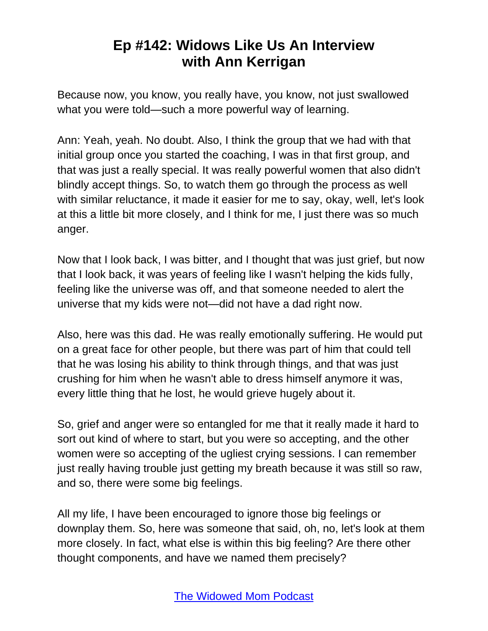Because now, you know, you really have, you know, not just swallowed what you were told—such a more powerful way of learning.

Ann: Yeah, yeah. No doubt. Also, I think the group that we had with that initial group once you started the coaching, I was in that first group, and that was just a really special. It was really powerful women that also didn't blindly accept things. So, to watch them go through the process as well with similar reluctance, it made it easier for me to say, okay, well, let's look at this a little bit more closely, and I think for me, I just there was so much anger.

Now that I look back, I was bitter, and I thought that was just grief, but now that I look back, it was years of feeling like I wasn't helping the kids fully, feeling like the universe was off, and that someone needed to alert the universe that my kids were not—did not have a dad right now.

Also, here was this dad. He was really emotionally suffering. He would put on a great face for other people, but there was part of him that could tell that he was losing his ability to think through things, and that was just crushing for him when he wasn't able to dress himself anymore it was, every little thing that he lost, he would grieve hugely about it.

So, grief and anger were so entangled for me that it really made it hard to sort out kind of where to start, but you were so accepting, and the other women were so accepting of the ugliest crying sessions. I can remember just really having trouble just getting my breath because it was still so raw, and so, there were some big feelings.

All my life, I have been encouraged to ignore those big feelings or downplay them. So, here was someone that said, oh, no, let's look at them more closely. In fact, what else is within this big feeling? Are there other thought components, and have we named them precisely?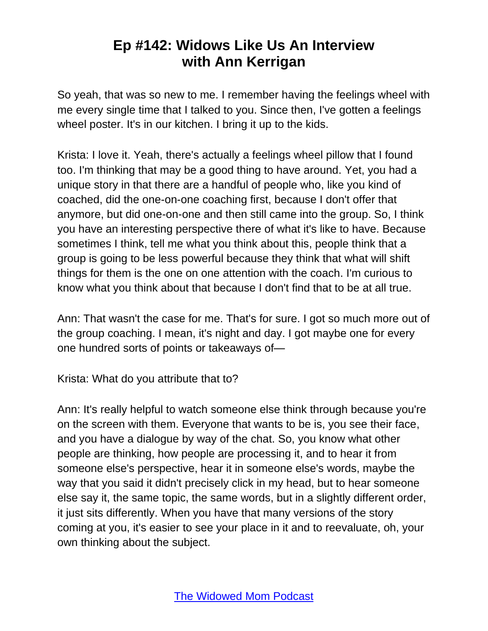So yeah, that was so new to me. I remember having the feelings wheel with me every single time that I talked to you. Since then, I've gotten a feelings wheel poster. It's in our kitchen. I bring it up to the kids.

Krista: I love it. Yeah, there's actually a feelings wheel pillow that I found too. I'm thinking that may be a good thing to have around. Yet, you had a unique story in that there are a handful of people who, like you kind of coached, did the one-on-one coaching first, because I don't offer that anymore, but did one-on-one and then still came into the group. So, I think you have an interesting perspective there of what it's like to have. Because sometimes I think, tell me what you think about this, people think that a group is going to be less powerful because they think that what will shift things for them is the one on one attention with the coach. I'm curious to know what you think about that because I don't find that to be at all true.

Ann: That wasn't the case for me. That's for sure. I got so much more out of the group coaching. I mean, it's night and day. I got maybe one for every one hundred sorts of points or takeaways of—

Krista: What do you attribute that to?

Ann: It's really helpful to watch someone else think through because you're on the screen with them. Everyone that wants to be is, you see their face, and you have a dialogue by way of the chat. So, you know what other people are thinking, how people are processing it, and to hear it from someone else's perspective, hear it in someone else's words, maybe the way that you said it didn't precisely click in my head, but to hear someone else say it, the same topic, the same words, but in a slightly different order, it just sits differently. When you have that many versions of the story coming at you, it's easier to see your place in it and to reevaluate, oh, your own thinking about the subject.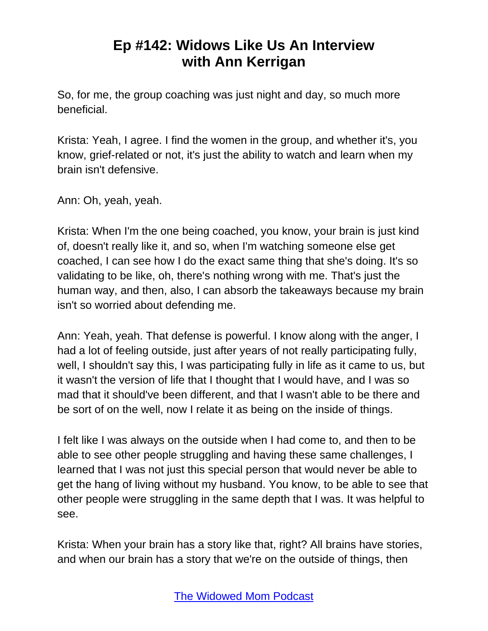So, for me, the group coaching was just night and day, so much more beneficial.

Krista: Yeah, I agree. I find the women in the group, and whether it's, you know, grief-related or not, it's just the ability to watch and learn when my brain isn't defensive.

Ann: Oh, yeah, yeah.

Krista: When I'm the one being coached, you know, your brain is just kind of, doesn't really like it, and so, when I'm watching someone else get coached, I can see how I do the exact same thing that she's doing. It's so validating to be like, oh, there's nothing wrong with me. That's just the human way, and then, also, I can absorb the takeaways because my brain isn't so worried about defending me.

Ann: Yeah, yeah. That defense is powerful. I know along with the anger, I had a lot of feeling outside, just after years of not really participating fully, well, I shouldn't say this, I was participating fully in life as it came to us, but it wasn't the version of life that I thought that I would have, and I was so mad that it should've been different, and that I wasn't able to be there and be sort of on the well, now I relate it as being on the inside of things.

I felt like I was always on the outside when I had come to, and then to be able to see other people struggling and having these same challenges, I learned that I was not just this special person that would never be able to get the hang of living without my husband. You know, to be able to see that other people were struggling in the same depth that I was. It was helpful to see.

Krista: When your brain has a story like that, right? All brains have stories, and when our brain has a story that we're on the outside of things, then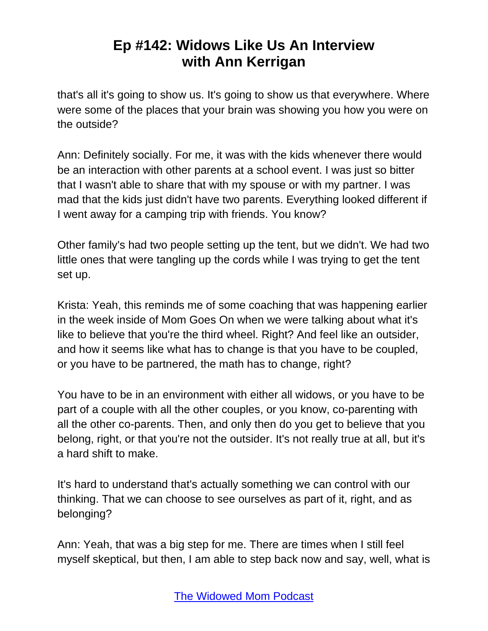that's all it's going to show us. It's going to show us that everywhere. Where were some of the places that your brain was showing you how you were on the outside?

Ann: Definitely socially. For me, it was with the kids whenever there would be an interaction with other parents at a school event. I was just so bitter that I wasn't able to share that with my spouse or with my partner. I was mad that the kids just didn't have two parents. Everything looked different if I went away for a camping trip with friends. You know?

Other family's had two people setting up the tent, but we didn't. We had two little ones that were tangling up the cords while I was trying to get the tent set up.

Krista: Yeah, this reminds me of some coaching that was happening earlier in the week inside of Mom Goes On when we were talking about what it's like to believe that you're the third wheel. Right? And feel like an outsider, and how it seems like what has to change is that you have to be coupled, or you have to be partnered, the math has to change, right?

You have to be in an environment with either all widows, or you have to be part of a couple with all the other couples, or you know, co-parenting with all the other co-parents. Then, and only then do you get to believe that you belong, right, or that you're not the outsider. It's not really true at all, but it's a hard shift to make.

It's hard to understand that's actually something we can control with our thinking. That we can choose to see ourselves as part of it, right, and as belonging?

Ann: Yeah, that was a big step for me. There are times when I still feel myself skeptical, but then, I am able to step back now and say, well, what is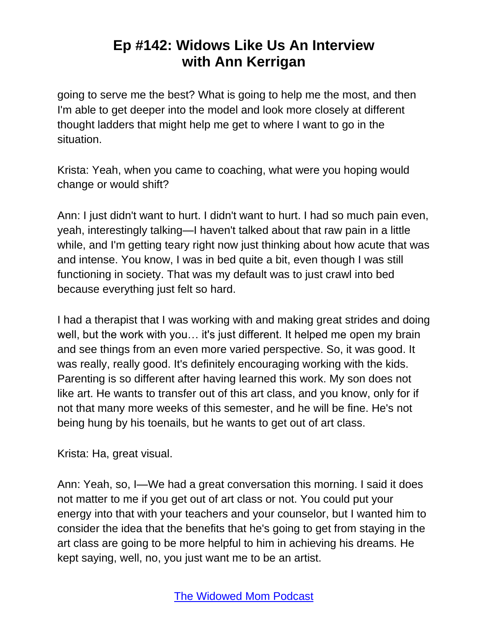going to serve me the best? What is going to help me the most, and then I'm able to get deeper into the model and look more closely at different thought ladders that might help me get to where I want to go in the situation.

Krista: Yeah, when you came to coaching, what were you hoping would change or would shift?

Ann: I just didn't want to hurt. I didn't want to hurt. I had so much pain even, yeah, interestingly talking—I haven't talked about that raw pain in a little while, and I'm getting teary right now just thinking about how acute that was and intense. You know, I was in bed quite a bit, even though I was still functioning in society. That was my default was to just crawl into bed because everything just felt so hard.

I had a therapist that I was working with and making great strides and doing well, but the work with you… it's just different. It helped me open my brain and see things from an even more varied perspective. So, it was good. It was really, really good. It's definitely encouraging working with the kids. Parenting is so different after having learned this work. My son does not like art. He wants to transfer out of this art class, and you know, only for if not that many more weeks of this semester, and he will be fine. He's not being hung by his toenails, but he wants to get out of art class.

Krista: Ha, great visual.

Ann: Yeah, so, I—We had a great conversation this morning. I said it does not matter to me if you get out of art class or not. You could put your energy into that with your teachers and your counselor, but I wanted him to consider the idea that the benefits that he's going to get from staying in the art class are going to be more helpful to him in achieving his dreams. He kept saying, well, no, you just want me to be an artist.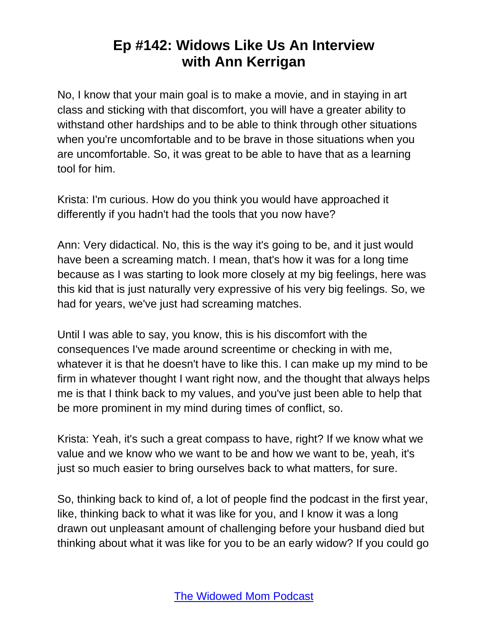No, I know that your main goal is to make a movie, and in staying in art class and sticking with that discomfort, you will have a greater ability to withstand other hardships and to be able to think through other situations when you're uncomfortable and to be brave in those situations when you are uncomfortable. So, it was great to be able to have that as a learning tool for him.

Krista: I'm curious. How do you think you would have approached it differently if you hadn't had the tools that you now have?

Ann: Very didactical. No, this is the way it's going to be, and it just would have been a screaming match. I mean, that's how it was for a long time because as I was starting to look more closely at my big feelings, here was this kid that is just naturally very expressive of his very big feelings. So, we had for years, we've just had screaming matches.

Until I was able to say, you know, this is his discomfort with the consequences I've made around screentime or checking in with me, whatever it is that he doesn't have to like this. I can make up my mind to be firm in whatever thought I want right now, and the thought that always helps me is that I think back to my values, and you've just been able to help that be more prominent in my mind during times of conflict, so.

Krista: Yeah, it's such a great compass to have, right? If we know what we value and we know who we want to be and how we want to be, yeah, it's just so much easier to bring ourselves back to what matters, for sure.

So, thinking back to kind of, a lot of people find the podcast in the first year, like, thinking back to what it was like for you, and I know it was a long drawn out unpleasant amount of challenging before your husband died but thinking about what it was like for you to be an early widow? If you could go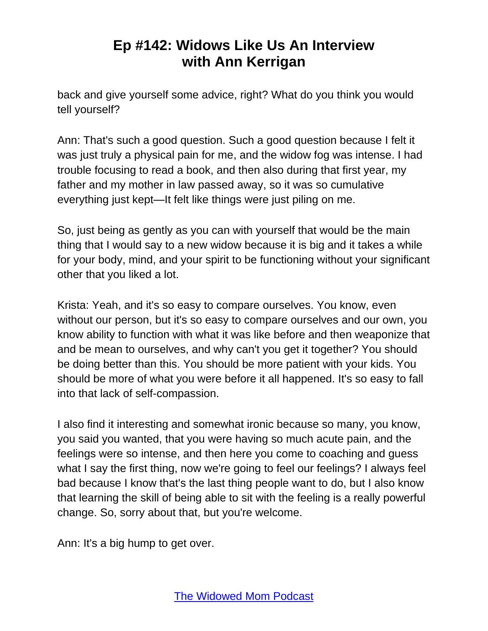back and give yourself some advice, right? What do you think you would tell yourself?

Ann: That's such a good question. Such a good question because I felt it was just truly a physical pain for me, and the widow fog was intense. I had trouble focusing to read a book, and then also during that first year, my father and my mother in law passed away, so it was so cumulative everything just kept—It felt like things were just piling on me.

So, just being as gently as you can with yourself that would be the main thing that I would say to a new widow because it is big and it takes a while for your body, mind, and your spirit to be functioning without your significant other that you liked a lot.

Krista: Yeah, and it's so easy to compare ourselves. You know, even without our person, but it's so easy to compare ourselves and our own, you know ability to function with what it was like before and then weaponize that and be mean to ourselves, and why can't you get it together? You should be doing better than this. You should be more patient with your kids. You should be more of what you were before it all happened. It's so easy to fall into that lack of self-compassion.

I also find it interesting and somewhat ironic because so many, you know, you said you wanted, that you were having so much acute pain, and the feelings were so intense, and then here you come to coaching and guess what I say the first thing, now we're going to feel our feelings? I always feel bad because I know that's the last thing people want to do, but I also know that learning the skill of being able to sit with the feeling is a really powerful change. So, sorry about that, but you're welcome.

Ann: It's a big hump to get over.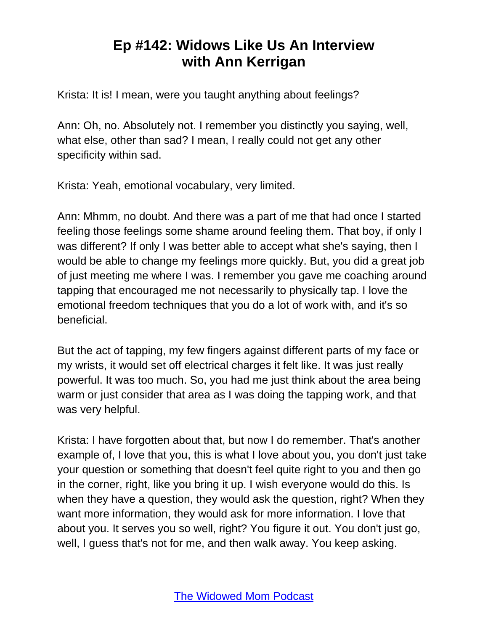Krista: It is! I mean, were you taught anything about feelings?

Ann: Oh, no. Absolutely not. I remember you distinctly you saying, well, what else, other than sad? I mean, I really could not get any other specificity within sad.

Krista: Yeah, emotional vocabulary, very limited.

Ann: Mhmm, no doubt. And there was a part of me that had once I started feeling those feelings some shame around feeling them. That boy, if only I was different? If only I was better able to accept what she's saying, then I would be able to change my feelings more quickly. But, you did a great job of just meeting me where I was. I remember you gave me coaching around tapping that encouraged me not necessarily to physically tap. I love the emotional freedom techniques that you do a lot of work with, and it's so beneficial.

But the act of tapping, my few fingers against different parts of my face or my wrists, it would set off electrical charges it felt like. It was just really powerful. It was too much. So, you had me just think about the area being warm or just consider that area as I was doing the tapping work, and that was very helpful.

Krista: I have forgotten about that, but now I do remember. That's another example of, I love that you, this is what I love about you, you don't just take your question or something that doesn't feel quite right to you and then go in the corner, right, like you bring it up. I wish everyone would do this. Is when they have a question, they would ask the question, right? When they want more information, they would ask for more information. I love that about you. It serves you so well, right? You figure it out. You don't just go, well, I guess that's not for me, and then walk away. You keep asking.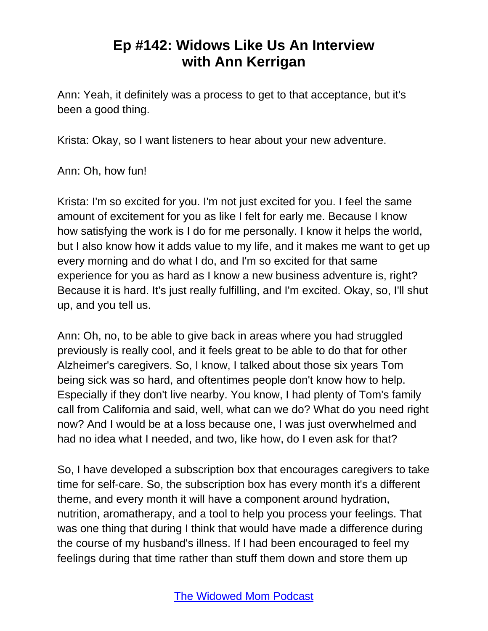Ann: Yeah, it definitely was a process to get to that acceptance, but it's been a good thing.

Krista: Okay, so I want listeners to hear about your new adventure.

Ann: Oh, how fun!

Krista: I'm so excited for you. I'm not just excited for you. I feel the same amount of excitement for you as like I felt for early me. Because I know how satisfying the work is I do for me personally. I know it helps the world, but I also know how it adds value to my life, and it makes me want to get up every morning and do what I do, and I'm so excited for that same experience for you as hard as I know a new business adventure is, right? Because it is hard. It's just really fulfilling, and I'm excited. Okay, so, I'll shut up, and you tell us.

Ann: Oh, no, to be able to give back in areas where you had struggled previously is really cool, and it feels great to be able to do that for other Alzheimer's caregivers. So, I know, I talked about those six years Tom being sick was so hard, and oftentimes people don't know how to help. Especially if they don't live nearby. You know, I had plenty of Tom's family call from California and said, well, what can we do? What do you need right now? And I would be at a loss because one, I was just overwhelmed and had no idea what I needed, and two, like how, do I even ask for that?

So, I have developed a subscription box that encourages caregivers to take time for self-care. So, the subscription box has every month it's a different theme, and every month it will have a component around hydration, nutrition, aromatherapy, and a tool to help you process your feelings. That was one thing that during I think that would have made a difference during the course of my husband's illness. If I had been encouraged to feel my feelings during that time rather than stuff them down and store them up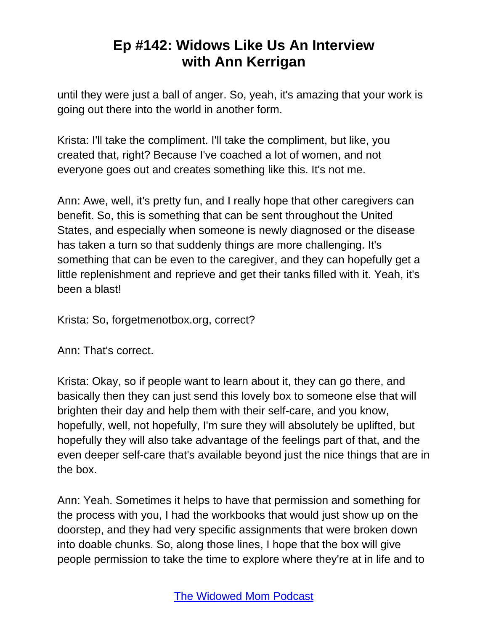until they were just a ball of anger. So, yeah, it's amazing that your work is going out there into the world in another form.

Krista: I'll take the compliment. I'll take the compliment, but like, you created that, right? Because I've coached a lot of women, and not everyone goes out and creates something like this. It's not me.

Ann: Awe, well, it's pretty fun, and I really hope that other caregivers can benefit. So, this is something that can be sent throughout the United States, and especially when someone is newly diagnosed or the disease has taken a turn so that suddenly things are more challenging. It's something that can be even to the caregiver, and they can hopefully get a little replenishment and reprieve and get their tanks filled with it. Yeah, it's been a blast!

Krista: So, forgetmenotbox.org, correct?

Ann: That's correct.

Krista: Okay, so if people want to learn about it, they can go there, and basically then they can just send this lovely box to someone else that will brighten their day and help them with their self-care, and you know, hopefully, well, not hopefully, I'm sure they will absolutely be uplifted, but hopefully they will also take advantage of the feelings part of that, and the even deeper self-care that's available beyond just the nice things that are in the box.

Ann: Yeah. Sometimes it helps to have that permission and something for the process with you, I had the workbooks that would just show up on the doorstep, and they had very specific assignments that were broken down into doable chunks. So, along those lines, I hope that the box will give people permission to take the time to explore where they're at in life and to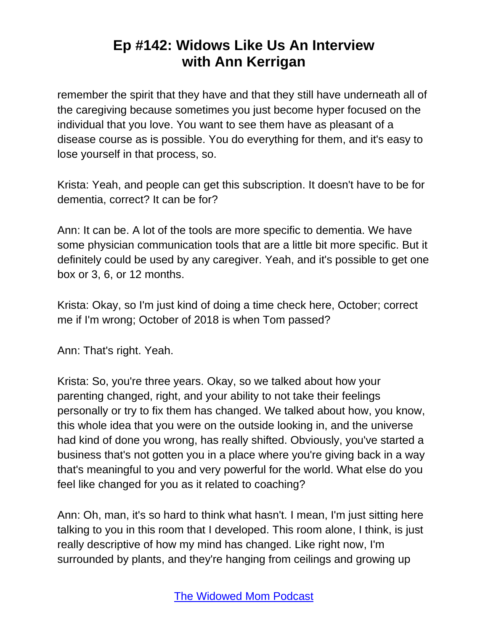remember the spirit that they have and that they still have underneath all of the caregiving because sometimes you just become hyper focused on the individual that you love. You want to see them have as pleasant of a disease course as is possible. You do everything for them, and it's easy to lose yourself in that process, so.

Krista: Yeah, and people can get this subscription. It doesn't have to be for dementia, correct? It can be for?

Ann: It can be. A lot of the tools are more specific to dementia. We have some physician communication tools that are a little bit more specific. But it definitely could be used by any caregiver. Yeah, and it's possible to get one box or 3, 6, or 12 months.

Krista: Okay, so I'm just kind of doing a time check here, October; correct me if I'm wrong; October of 2018 is when Tom passed?

Ann: That's right. Yeah.

Krista: So, you're three years. Okay, so we talked about how your parenting changed, right, and your ability to not take their feelings personally or try to fix them has changed. We talked about how, you know, this whole idea that you were on the outside looking in, and the universe had kind of done you wrong, has really shifted. Obviously, you've started a business that's not gotten you in a place where you're giving back in a way that's meaningful to you and very powerful for the world. What else do you feel like changed for you as it related to coaching?

Ann: Oh, man, it's so hard to think what hasn't. I mean, I'm just sitting here talking to you in this room that I developed. This room alone, I think, is just really descriptive of how my mind has changed. Like right now, I'm surrounded by plants, and they're hanging from ceilings and growing up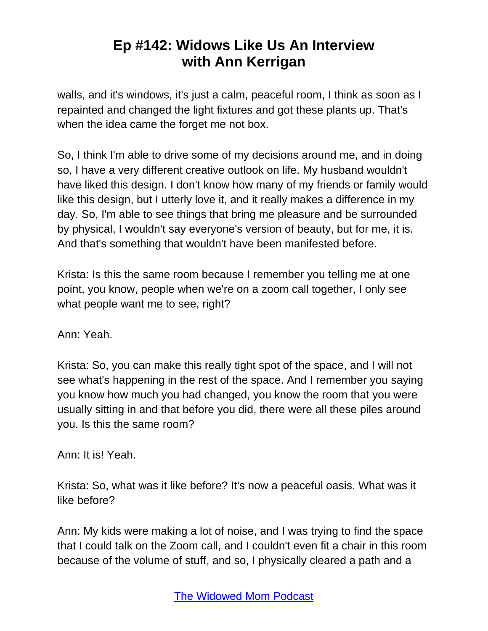walls, and it's windows, it's just a calm, peaceful room, I think as soon as I repainted and changed the light fixtures and got these plants up. That's when the idea came the forget me not box.

So, I think I'm able to drive some of my decisions around me, and in doing so, I have a very different creative outlook on life. My husband wouldn't have liked this design. I don't know how many of my friends or family would like this design, but I utterly love it, and it really makes a difference in my day. So, I'm able to see things that bring me pleasure and be surrounded by physical, I wouldn't say everyone's version of beauty, but for me, it is. And that's something that wouldn't have been manifested before.

Krista: Is this the same room because I remember you telling me at one point, you know, people when we're on a zoom call together, I only see what people want me to see, right?

Ann: Yeah.

Krista: So, you can make this really tight spot of the space, and I will not see what's happening in the rest of the space. And I remember you saying you know how much you had changed, you know the room that you were usually sitting in and that before you did, there were all these piles around you. Is this the same room?

Ann: It is! Yeah.

Krista: So, what was it like before? It's now a peaceful oasis. What was it like before?

Ann: My kids were making a lot of noise, and I was trying to find the space that I could talk on the Zoom call, and I couldn't even fit a chair in this room because of the volume of stuff, and so, I physically cleared a path and a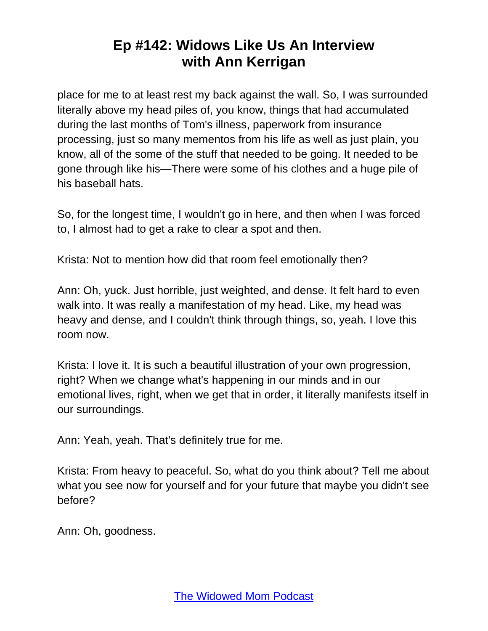place for me to at least rest my back against the wall. So, I was surrounded literally above my head piles of, you know, things that had accumulated during the last months of Tom's illness, paperwork from insurance processing, just so many mementos from his life as well as just plain, you know, all of the some of the stuff that needed to be going. It needed to be gone through like his—There were some of his clothes and a huge pile of his baseball hats.

So, for the longest time, I wouldn't go in here, and then when I was forced to, I almost had to get a rake to clear a spot and then.

Krista: Not to mention how did that room feel emotionally then?

Ann: Oh, yuck. Just horrible, just weighted, and dense. It felt hard to even walk into. It was really a manifestation of my head. Like, my head was heavy and dense, and I couldn't think through things, so, yeah. I love this room now.

Krista: I love it. It is such a beautiful illustration of your own progression, right? When we change what's happening in our minds and in our emotional lives, right, when we get that in order, it literally manifests itself in our surroundings.

Ann: Yeah, yeah. That's definitely true for me.

Krista: From heavy to peaceful. So, what do you think about? Tell me about what you see now for yourself and for your future that maybe you didn't see before?

Ann: Oh, goodness.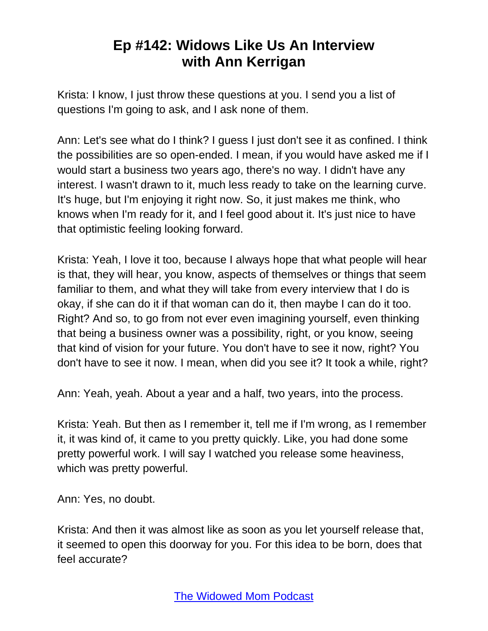Krista: I know, I just throw these questions at you. I send you a list of questions I'm going to ask, and I ask none of them.

Ann: Let's see what do I think? I guess I just don't see it as confined. I think the possibilities are so open-ended. I mean, if you would have asked me if I would start a business two years ago, there's no way. I didn't have any interest. I wasn't drawn to it, much less ready to take on the learning curve. It's huge, but I'm enjoying it right now. So, it just makes me think, who knows when I'm ready for it, and I feel good about it. It's just nice to have that optimistic feeling looking forward.

Krista: Yeah, I love it too, because I always hope that what people will hear is that, they will hear, you know, aspects of themselves or things that seem familiar to them, and what they will take from every interview that I do is okay, if she can do it if that woman can do it, then maybe I can do it too. Right? And so, to go from not ever even imagining yourself, even thinking that being a business owner was a possibility, right, or you know, seeing that kind of vision for your future. You don't have to see it now, right? You don't have to see it now. I mean, when did you see it? It took a while, right?

Ann: Yeah, yeah. About a year and a half, two years, into the process.

Krista: Yeah. But then as I remember it, tell me if I'm wrong, as I remember it, it was kind of, it came to you pretty quickly. Like, you had done some pretty powerful work. I will say I watched you release some heaviness, which was pretty powerful.

Ann: Yes, no doubt.

Krista: And then it was almost like as soon as you let yourself release that, it seemed to open this doorway for you. For this idea to be born, does that feel accurate?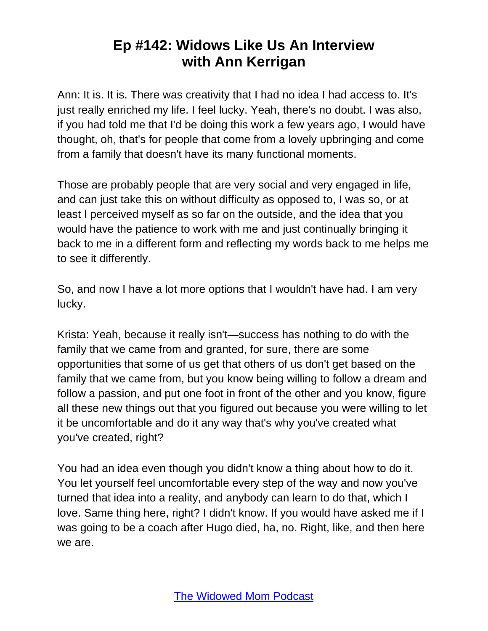Ann: It is. It is. There was creativity that I had no idea I had access to. It's just really enriched my life. I feel lucky. Yeah, there's no doubt. I was also, if you had told me that I'd be doing this work a few years ago, I would have thought, oh, that's for people that come from a lovely upbringing and come from a family that doesn't have its many functional moments.

Those are probably people that are very social and very engaged in life, and can just take this on without difficulty as opposed to, I was so, or at least I perceived myself as so far on the outside, and the idea that you would have the patience to work with me and just continually bringing it back to me in a different form and reflecting my words back to me helps me to see it differently.

So, and now I have a lot more options that I wouldn't have had. I am very lucky.

Krista: Yeah, because it really isn't—success has nothing to do with the family that we came from and granted, for sure, there are some opportunities that some of us get that others of us don't get based on the family that we came from, but you know being willing to follow a dream and follow a passion, and put one foot in front of the other and you know, figure all these new things out that you figured out because you were willing to let it be uncomfortable and do it any way that's why you've created what you've created, right?

You had an idea even though you didn't know a thing about how to do it. You let yourself feel uncomfortable every step of the way and now you've turned that idea into a reality, and anybody can learn to do that, which I love. Same thing here, right? I didn't know. If you would have asked me if I was going to be a coach after Hugo died, ha, no. Right, like, and then here we are.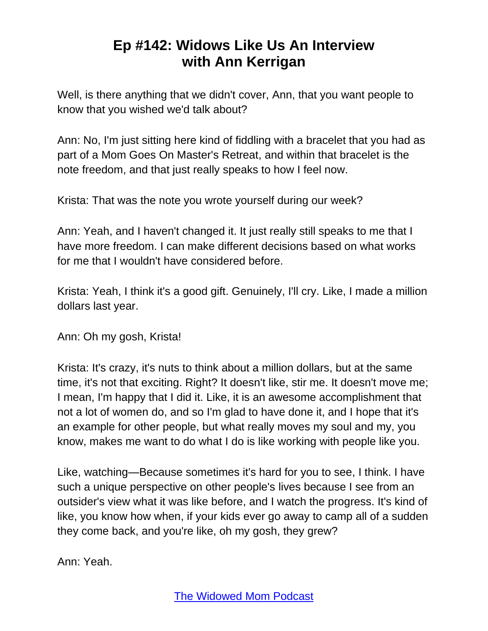Well, is there anything that we didn't cover, Ann, that you want people to know that you wished we'd talk about?

Ann: No, I'm just sitting here kind of fiddling with a bracelet that you had as part of a Mom Goes On Master's Retreat, and within that bracelet is the note freedom, and that just really speaks to how I feel now.

Krista: That was the note you wrote yourself during our week?

Ann: Yeah, and I haven't changed it. It just really still speaks to me that I have more freedom. I can make different decisions based on what works for me that I wouldn't have considered before.

Krista: Yeah, I think it's a good gift. Genuinely, I'll cry. Like, I made a million dollars last year.

Ann: Oh my gosh, Krista!

Krista: It's crazy, it's nuts to think about a million dollars, but at the same time, it's not that exciting. Right? It doesn't like, stir me. It doesn't move me; I mean, I'm happy that I did it. Like, it is an awesome accomplishment that not a lot of women do, and so I'm glad to have done it, and I hope that it's an example for other people, but what really moves my soul and my, you know, makes me want to do what I do is like working with people like you.

Like, watching—Because sometimes it's hard for you to see, I think. I have such a unique perspective on other people's lives because I see from an outsider's view what it was like before, and I watch the progress. It's kind of like, you know how when, if your kids ever go away to camp all of a sudden they come back, and you're like, oh my gosh, they grew?

Ann: Yeah.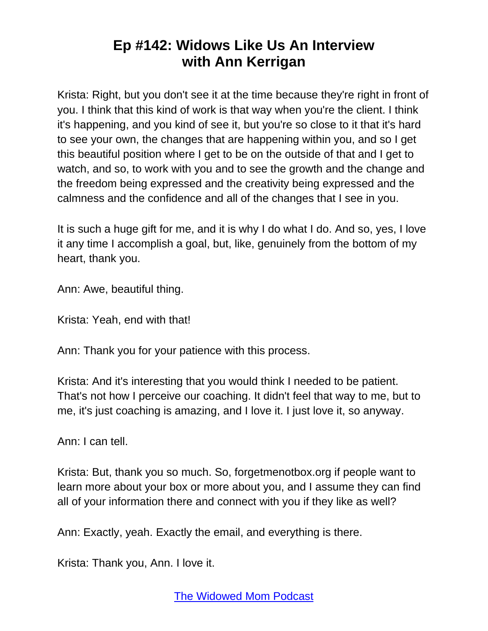Krista: Right, but you don't see it at the time because they're right in front of you. I think that this kind of work is that way when you're the client. I think it's happening, and you kind of see it, but you're so close to it that it's hard to see your own, the changes that are happening within you, and so I get this beautiful position where I get to be on the outside of that and I get to watch, and so, to work with you and to see the growth and the change and the freedom being expressed and the creativity being expressed and the calmness and the confidence and all of the changes that I see in you.

It is such a huge gift for me, and it is why I do what I do. And so, yes, I love it any time I accomplish a goal, but, like, genuinely from the bottom of my heart, thank you.

Ann: Awe, beautiful thing.

Krista: Yeah, end with that!

Ann: Thank you for your patience with this process.

Krista: And it's interesting that you would think I needed to be patient. That's not how I perceive our coaching. It didn't feel that way to me, but to me, it's just coaching is amazing, and I love it. I just love it, so anyway.

Ann: I can tell.

Krista: But, thank you so much. So, forgetmenotbox.org if people want to learn more about your box or more about you, and I assume they can find all of your information there and connect with you if they like as well?

Ann: Exactly, yeah. Exactly the email, and everything is there.

Krista: Thank you, Ann. I love it.